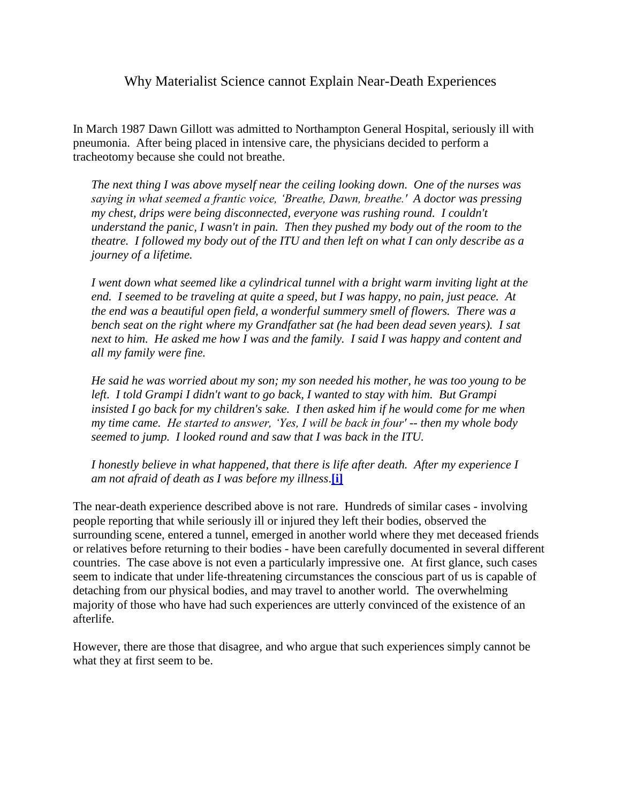## Why Materialist Science cannot Explain Near-Death Experiences

In March 1987 Dawn Gillott was admitted to Northampton General Hospital, seriously ill with pneumonia. After being placed in intensive care, the physicians decided to perform a tracheotomy because she could not breathe.

*The next thing I was above myself near the ceiling looking down. One of the nurses was saying in what seemed a frantic voice, 'Breathe, Dawn, breathe.' A doctor was pressing my chest, drips were being disconnected, everyone was rushing round. I couldn't understand the panic, I wasn't in pain. Then they pushed my body out of the room to the theatre. I followed my body out of the ITU and then left on what I can only describe as a journey of a lifetime.* 

*I went down what seemed like a cylindrical tunnel with a bright warm inviting light at the end. I seemed to be traveling at quite a speed, but I was happy, no pain, just peace. At the end was a beautiful open field, a wonderful summery smell of flowers. There was a bench seat on the right where my Grandfather sat (he had been dead seven years). I sat next to him. He asked me how I was and the family. I said I was happy and content and all my family were fine.* 

*He said he was worried about my son; my son needed his mother, he was too young to be left. I told Grampi I didn't want to go back, I wanted to stay with him. But Grampi insisted I go back for my children's sake. I then asked him if he would come for me when my time came. He started to answer, 'Yes, I will be back in four' -- then my whole body seemed to jump. I looked round and saw that I was back in the ITU.* 

*I honestly believe in what happened, that there is life after death. After my experience I am not afraid of death as I was before my illness*.**[\[i\]](http://www.realitysandwich.com/does_consciousness_depend_brain#_edn1)**

The near-death experience described above is not rare. Hundreds of similar cases - involving people reporting that while seriously ill or injured they left their bodies, observed the surrounding scene, entered a tunnel, emerged in another world where they met deceased friends or relatives before returning to their bodies - have been carefully documented in several different countries. The case above is not even a particularly impressive one. At first glance, such cases seem to indicate that under life-threatening circumstances the conscious part of us is capable of detaching from our physical bodies, and may travel to another world. The overwhelming majority of those who have had such experiences are utterly convinced of the existence of an afterlife.

However, there are those that disagree, and who argue that such experiences simply cannot be what they at first seem to be.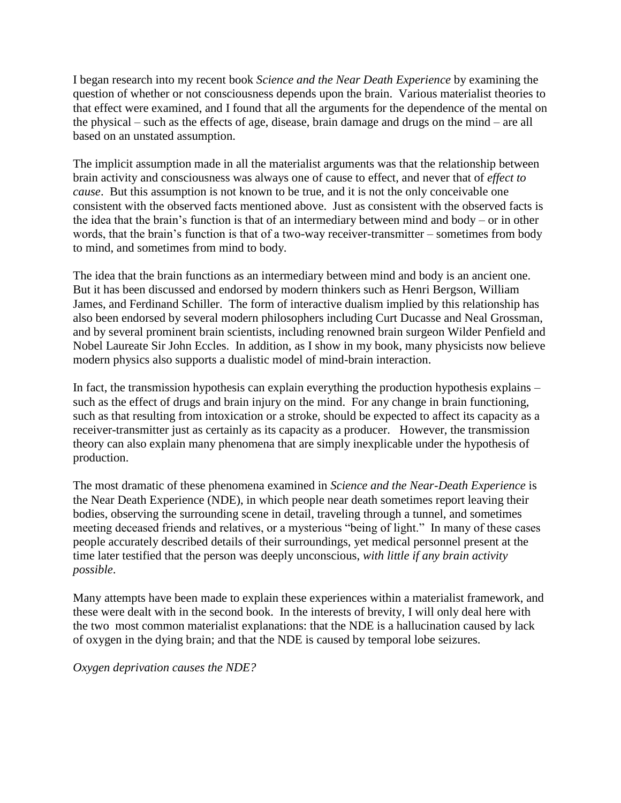I began research into my recent book *Science and the Near Death Experience* by examining the question of whether or not consciousness depends upon the brain. Various materialist theories to that effect were examined, and I found that all the arguments for the dependence of the mental on the physical – such as the effects of age, disease, brain damage and drugs on the mind – are all based on an unstated assumption.

The implicit assumption made in all the materialist arguments was that the relationship between brain activity and consciousness was always one of cause to effect, and never that of *effect to cause*. But this assumption is not known to be true, and it is not the only conceivable one consistent with the observed facts mentioned above. Just as consistent with the observed facts is the idea that the brain's function is that of an intermediary between mind and body – or in other words, that the brain's function is that of a two-way receiver-transmitter – sometimes from body to mind, and sometimes from mind to body.

The idea that the brain functions as an intermediary between mind and body is an ancient one. But it has been discussed and endorsed by modern thinkers such as Henri Bergson, William James, and Ferdinand Schiller. The form of interactive dualism implied by this relationship has also been endorsed by several modern philosophers including Curt Ducasse and Neal Grossman, and by several prominent brain scientists, including renowned brain surgeon Wilder Penfield and Nobel Laureate Sir John Eccles. In addition, as I show in my book, many physicists now believe modern physics also supports a dualistic model of mind-brain interaction.

In fact, the transmission hypothesis can explain everything the production hypothesis explains – such as the effect of drugs and brain injury on the mind. For any change in brain functioning, such as that resulting from intoxication or a stroke, should be expected to affect its capacity as a receiver-transmitter just as certainly as its capacity as a producer. However, the transmission theory can also explain many phenomena that are simply inexplicable under the hypothesis of production.

The most dramatic of these phenomena examined in *Science and the Near-Death Experience* is the Near Death Experience (NDE), in which people near death sometimes report leaving their bodies, observing the surrounding scene in detail, traveling through a tunnel, and sometimes meeting deceased friends and relatives, or a mysterious "being of light." In many of these cases people accurately described details of their surroundings, yet medical personnel present at the time later testified that the person was deeply unconscious, *with little if any brain activity possible*.

Many attempts have been made to explain these experiences within a materialist framework, and these were dealt with in the second book. In the interests of brevity, I will only deal here with the two most common materialist explanations: that the NDE is a hallucination caused by lack of oxygen in the dying brain; and that the NDE is caused by temporal lobe seizures.

*Oxygen deprivation causes the NDE?*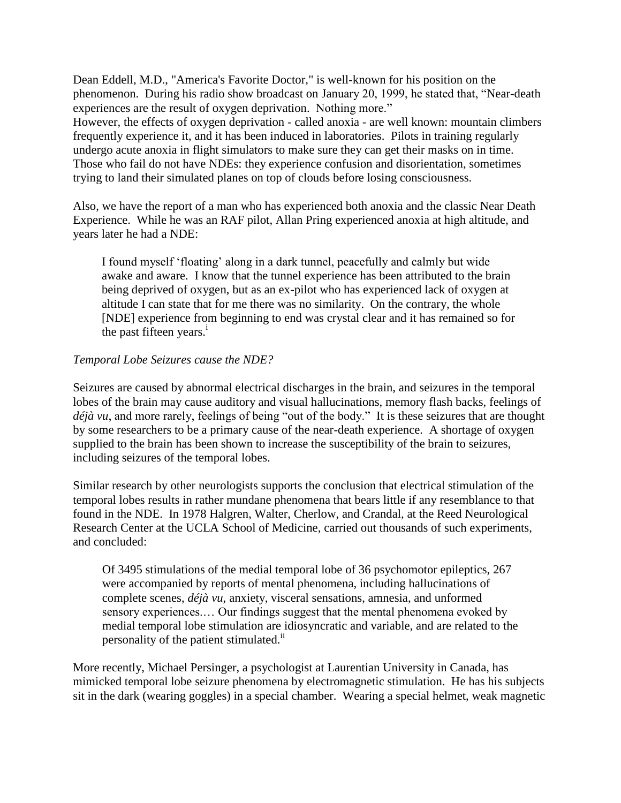Dean Eddell, M.D., "America's Favorite Doctor," is well-known for his position on the phenomenon. During his radio show broadcast on January 20, 1999, he stated that, "Near-death experiences are the result of oxygen deprivation. Nothing more." However, the effects of oxygen deprivation - called anoxia - are well known: mountain climbers frequently experience it, and it has been induced in laboratories. Pilots in training regularly undergo acute anoxia in flight simulators to make sure they can get their masks on in time. Those who fail do not have NDEs: they experience confusion and disorientation, sometimes trying to land their simulated planes on top of clouds before losing consciousness.

Also, we have the report of a man who has experienced both anoxia and the classic Near Death Experience. While he was an RAF pilot, Allan Pring experienced anoxia at high altitude, and years later he had a NDE:

I found myself 'floating' along in a dark tunnel, peacefully and calmly but wide awake and aware. I know that the tunnel experience has been attributed to the brain being deprived of oxygen, but as an ex-pilot who has experienced lack of oxygen at altitude I can state that for me there was no similarity. On the contrary, the whole [NDE] experience from beginning to end was crystal clear and it has remained so for the past fifteen years. $\frac{1}{1}$ 

## *Temporal Lobe Seizures cause the NDE?*

Seizures are caused by abnormal electrical discharges in the brain, and seizures in the temporal lobes of the brain may cause auditory and visual hallucinations, memory flash backs, feelings of *déjà vu*, and more rarely, feelings of being "out of the body." It is these seizures that are thought by some researchers to be a primary cause of the near-death experience. A shortage of oxygen supplied to the brain has been shown to increase the susceptibility of the brain to seizures, including seizures of the temporal lobes.

Similar research by other neurologists supports the conclusion that electrical stimulation of the temporal lobes results in rather mundane phenomena that bears little if any resemblance to that found in the NDE. In 1978 Halgren, Walter, Cherlow, and Crandal*,* at the Reed Neurological Research Center at the UCLA School of Medicine, carried out thousands of such experiments, and concluded:

Of 3495 stimulations of the medial temporal lobe of 36 psychomotor epileptics, 267 were accompanied by reports of mental phenomena, including hallucinations of complete scenes, *déjà vu*, anxiety, visceral sensations, amnesia, and unformed sensory experiences.… Our findings suggest that the mental phenomena evoked by medial temporal lobe stimulation are idiosyncratic and variable, and are related to the personality of the patient stimulated.<sup>11</sup>

More recently, Michael Persinger, a psychologist at Laurentian University in Canada, has mimicked temporal lobe seizure phenomena by electromagnetic stimulation. He has his subjects sit in the dark (wearing goggles) in a special chamber. Wearing a special helmet, weak magnetic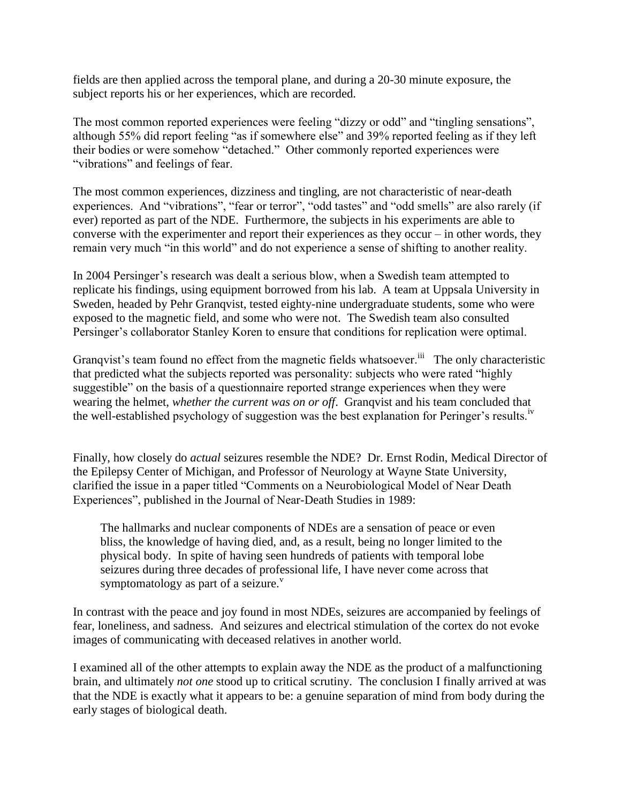fields are then applied across the temporal plane, and during a 20-30 minute exposure, the subject reports his or her experiences, which are recorded.

The most common reported experiences were feeling "dizzy or odd" and "tingling sensations", although 55% did report feeling "as if somewhere else" and 39% reported feeling as if they left their bodies or were somehow "detached." Other commonly reported experiences were "vibrations" and feelings of fear.

The most common experiences, dizziness and tingling, are not characteristic of near-death experiences. And "vibrations", "fear or terror", "odd tastes" and "odd smells" are also rarely (if ever) reported as part of the NDE. Furthermore, the subjects in his experiments are able to converse with the experimenter and report their experiences as they occur – in other words, they remain very much "in this world" and do not experience a sense of shifting to another reality.

In 2004 Persinger's research was dealt a serious blow, when a Swedish team attempted to replicate his findings, using equipment borrowed from his lab. A team at Uppsala University in Sweden, headed by Pehr Granqvist, tested eighty-nine undergraduate students, some who were exposed to the magnetic field, and some who were not. The Swedish team also consulted Persinger's collaborator Stanley Koren to ensure that conditions for replication were optimal.

Granqvist's team found no effect from the magnetic fields whatsoever.<sup>iii</sup> The only characteristic that predicted what the subjects reported was personality: subjects who were rated "highly suggestible" on the basis of a questionnaire reported strange experiences when they were wearing the helmet, *whether the current was on or off*. Granqvist and his team concluded that the well-established psychology of suggestion was the best explanation for Peringer's results.<sup>iv</sup>

Finally, how closely do *actual* seizures resemble the NDE? Dr. Ernst Rodin, Medical Director of the Epilepsy Center of Michigan, and Professor of Neurology at Wayne State University, clarified the issue in a paper titled "Comments on a Neurobiological Model of Near Death Experiences", published in the Journal of Near-Death Studies in 1989:

The hallmarks and nuclear components of NDEs are a sensation of peace or even bliss, the knowledge of having died, and, as a result, being no longer limited to the physical body. In spite of having seen hundreds of patients with temporal lobe seizures during three decades of professional life, I have never come across that symptomatology as part of a seizure. $\overline{v}$ 

In contrast with the peace and joy found in most NDEs, seizures are accompanied by feelings of fear, loneliness, and sadness. And seizures and electrical stimulation of the cortex do not evoke images of communicating with deceased relatives in another world.

I examined all of the other attempts to explain away the NDE as the product of a malfunctioning brain, and ultimately *not one* stood up to critical scrutiny. The conclusion I finally arrived at was that the NDE is exactly what it appears to be: a genuine separation of mind from body during the early stages of biological death.